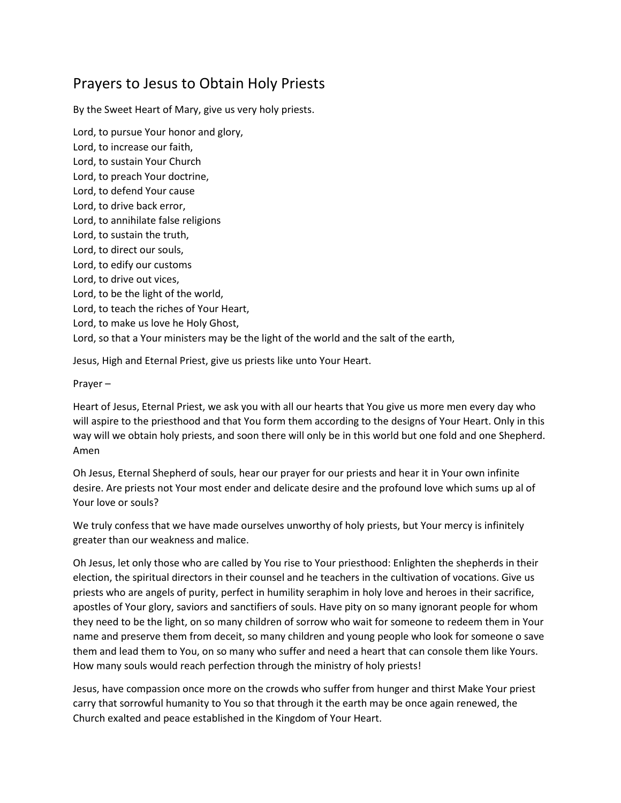## Prayers to Jesus to Obtain Holy Priests

By the Sweet Heart of Mary, give us very holy priests.

Lord, to pursue Your honor and glory, Lord, to increase our faith, Lord, to sustain Your Church Lord, to preach Your doctrine, Lord, to defend Your cause Lord, to drive back error, Lord, to annihilate false religions Lord, to sustain the truth, Lord, to direct our souls, Lord, to edify our customs Lord, to drive out vices, Lord, to be the light of the world, Lord, to teach the riches of Your Heart, Lord, to make us love he Holy Ghost, Lord, so that a Your ministers may be the light of the world and the salt of the earth,

Jesus, High and Eternal Priest, give us priests like unto Your Heart.

Prayer –

Heart of Jesus, Eternal Priest, we ask you with all our hearts that You give us more men every day who will aspire to the priesthood and that You form them according to the designs of Your Heart. Only in this way will we obtain holy priests, and soon there will only be in this world but one fold and one Shepherd. Amen

Oh Jesus, Eternal Shepherd of souls, hear our prayer for our priests and hear it in Your own infinite desire. Are priests not Your most ender and delicate desire and the profound love which sums up al of Your love or souls?

We truly confess that we have made ourselves unworthy of holy priests, but Your mercy is infinitely greater than our weakness and malice.

Oh Jesus, let only those who are called by You rise to Your priesthood: Enlighten the shepherds in their election, the spiritual directors in their counsel and he teachers in the cultivation of vocations. Give us priests who are angels of purity, perfect in humility seraphim in holy love and heroes in their sacrifice, apostles of Your glory, saviors and sanctifiers of souls. Have pity on so many ignorant people for whom they need to be the light, on so many children of sorrow who wait for someone to redeem them in Your name and preserve them from deceit, so many children and young people who look for someone o save them and lead them to You, on so many who suffer and need a heart that can console them like Yours. How many souls would reach perfection through the ministry of holy priests!

Jesus, have compassion once more on the crowds who suffer from hunger and thirst Make Your priest carry that sorrowful humanity to You so that through it the earth may be once again renewed, the Church exalted and peace established in the Kingdom of Your Heart.